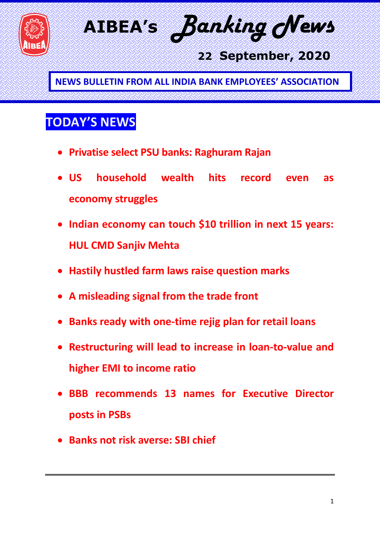



### **22 September, 2020**

**NEWS BULLETIN FROM ALL INDIA BANK EMPLOYEES' ASSOCIATION**

### **TODAY'S NEWS**

- **Privatise select PSU banks: Raghuram Rajan**
- **US household wealth hits record even as economy struggles**
- **Indian economy can touch \$10 trillion in next 15 years: HUL CMD Sanjiv Mehta**
- **Hastily hustled farm laws raise question marks**
- **A misleading signal from the trade front**
- **Banks ready with one-time rejig plan for retail loans**
- **Restructuring will lead to increase in loan-to-value and higher EMI to income ratio**
- **BBB recommends 13 names for Executive Director posts in PSBs**
- **Banks not risk averse: SBI chief**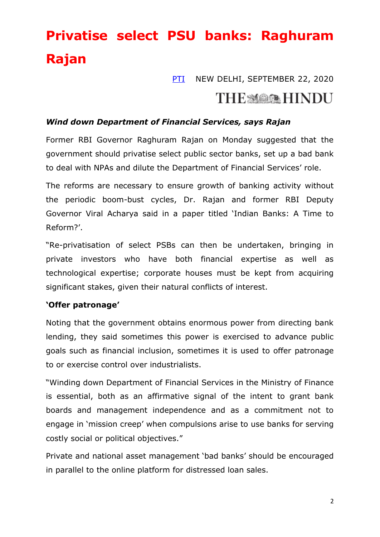## **Privatise select PSU banks: Raghuram Rajan**

### [PTI](https://www.thehindu.com/business/Industry/privatise-select-psu-banks/article32663931.ece?homepage=true) NEW DELHI, SEPTEMBER 22, 2020 THE MOON HINDU

#### *Wind down Department of Financial Services, says Rajan*

Former RBI Governor Raghuram Rajan on Monday suggested that the government should privatise select public sector banks, set up a bad bank to deal with NPAs and dilute the Department of Financial Services' role.

The reforms are necessary to ensure growth of banking activity without the periodic boom-bust cycles, Dr. Rajan and former RBI Deputy Governor Viral Acharya said in a paper titled 'Indian Banks: A Time to Reform?'.

"Re-privatisation of select PSBs can then be undertaken, bringing in private investors who have both financial expertise as well as technological expertise; corporate houses must be kept from acquiring significant stakes, given their natural conflicts of interest.

#### **'Offer patronage'**

Noting that the government obtains enormous power from directing bank lending, they said sometimes this power is exercised to advance public goals such as financial inclusion, sometimes it is used to offer patronage to or exercise control over industrialists.

"Winding down Department of Financial Services in the Ministry of Finance is essential, both as an affirmative signal of the intent to grant bank boards and management independence and as a commitment not to engage in 'mission creep' when compulsions arise to use banks for serving costly social or political objectives."

Private and national asset management 'bad banks' should be encouraged in parallel to the online platform for distressed loan sales.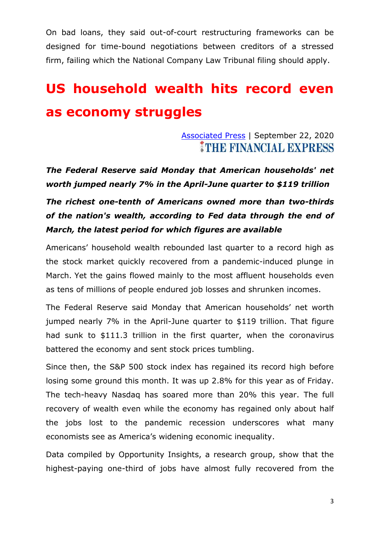On bad loans, they said out-of-court restructuring frameworks can be designed for time-bound negotiations between creditors of a stressed firm, failing which the National Company Law Tribunal filing should apply.

## **US household wealth hits record even as economy struggles**

#### [Associated Press](https://www.financialexpress.com/author/associated-press/) | September 22, 2020 THE FINANCIAL EXPRESS

*The Federal Reserve said Monday that American households' net worth jumped nearly 7% in the April-June quarter to \$119 trillion*

#### *The richest one-tenth of Americans owned more than two-thirds of the nation's wealth, according to Fed data through the end of March, the latest period for which figures are available*

Americans' household wealth rebounded last quarter to a record high as the stock market quickly recovered from a pandemic-induced plunge in March. Yet the gains flowed mainly to the most affluent households even as tens of millions of people endured job losses and shrunken incomes.

The Federal Reserve said Monday that American households' net worth jumped nearly 7% in the April-June quarter to \$119 trillion. That figure had sunk to \$111.3 trillion in the first quarter, when the coronavirus battered the economy and sent stock prices tumbling.

Since then, the S&P 500 stock index has regained its record high before losing some ground this month. It was up 2.8% for this year as of Friday. The tech-heavy Nasdaq has soared more than 20% this year. The full recovery of wealth even while the economy has regained only about half the jobs lost to the pandemic recession underscores what many economists see as America's widening economic inequality.

Data compiled by Opportunity Insights, a research group, show that the highest-paying one-third of jobs have almost fully recovered from the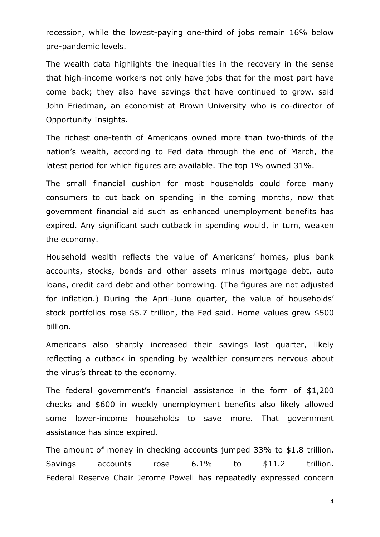recession, while the lowest-paying one-third of jobs remain 16% below pre-pandemic levels.

The wealth data highlights the inequalities in the recovery in the sense that high-income workers not only have jobs that for the most part have come back; they also have savings that have continued to grow, said John Friedman, an economist at Brown University who is co-director of Opportunity Insights.

The richest one-tenth of Americans owned more than two-thirds of the nation's wealth, according to Fed data through the end of March, the latest period for which figures are available. The top 1% owned 31%.

The small financial cushion for most households could force many consumers to cut back on spending in the coming months, now that government financial aid such as enhanced unemployment benefits has expired. Any significant such cutback in spending would, in turn, weaken the economy.

Household wealth reflects the value of Americans' homes, plus bank accounts, stocks, bonds and other assets minus mortgage debt, auto loans, credit card debt and other borrowing. (The figures are not adjusted for inflation.) During the April-June quarter, the value of households' stock portfolios rose \$5.7 trillion, the Fed said. Home values grew \$500 billion.

Americans also sharply increased their savings last quarter, likely reflecting a cutback in spending by wealthier consumers nervous about the virus's threat to the economy.

The federal government's financial assistance in the form of \$1,200 checks and \$600 in weekly unemployment benefits also likely allowed some lower-income households to save more. That government assistance has since expired.

The amount of money in checking accounts jumped 33% to \$1.8 trillion. Savings accounts rose 6.1% to \$11.2 trillion. Federal Reserve Chair Jerome Powell has repeatedly expressed concern

4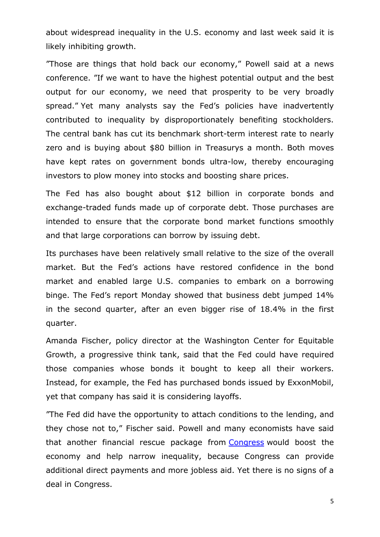about widespread inequality in the U.S. economy and last week said it is likely inhibiting growth.

"Those are things that hold back our economy," Powell said at a news conference. "If we want to have the highest potential output and the best output for our economy, we need that prosperity to be very broadly spread." Yet many analysts say the Fed's policies have inadvertently contributed to inequality by disproportionately benefiting stockholders. The central bank has cut its benchmark short-term interest rate to nearly zero and is buying about \$80 billion in Treasurys a month. Both moves have kept rates on government bonds ultra-low, thereby encouraging investors to plow money into stocks and boosting share prices.

The Fed has also bought about \$12 billion in corporate bonds and exchange-traded funds made up of corporate debt. Those purchases are intended to ensure that the corporate bond market functions smoothly and that large corporations can borrow by issuing debt.

Its purchases have been relatively small relative to the size of the overall market. But the Fed's actions have restored confidence in the bond market and enabled large U.S. companies to embark on a borrowing binge. The Fed's report Monday showed that business debt jumped 14% in the second quarter, after an even bigger rise of 18.4% in the first quarter.

Amanda Fischer, policy director at the Washington Center for Equitable Growth, a progressive think tank, said that the Fed could have required those companies whose bonds it bought to keep all their workers. Instead, for example, the Fed has purchased bonds issued by ExxonMobil, yet that company has said it is considering layoffs.

‖The Fed did have the opportunity to attach conditions to the lending, and they chose not to," Fischer said. Powell and many economists have said that another financial rescue package from [Congress](https://www.financialexpress.com/tag/congress/) would boost the economy and help narrow inequality, because Congress can provide additional direct payments and more jobless aid. Yet there is no signs of a deal in Congress.

5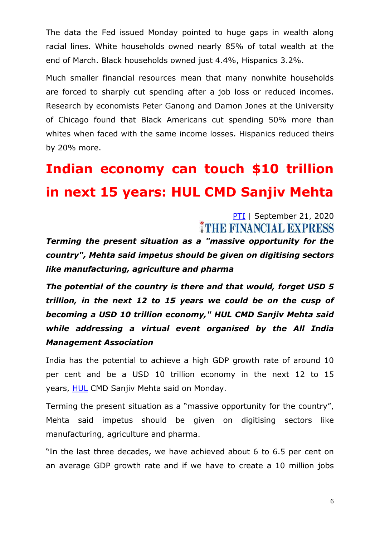The data the Fed issued Monday pointed to huge gaps in wealth along racial lines. White households owned nearly 85% of total wealth at the end of March. Black households owned just 4.4%, Hispanics 3.2%.

Much smaller financial resources mean that many nonwhite households are forced to sharply cut spending after a job loss or reduced incomes. Research by economists Peter Ganong and Damon Jones at the University of Chicago found that Black Americans cut spending 50% more than whites when faced with the same income losses. Hispanics reduced theirs by 20% more.

## **Indian economy can touch \$10 trillion in next 15 years: HUL CMD Sanjiv Mehta**

#### [PTI](https://www.financialexpress.com/author/pti/) | September 21, 2020 THE FINANCIAL EXPRESS

*Terming the present situation as a "massive opportunity for the country", Mehta said impetus should be given on digitising sectors like manufacturing, agriculture and pharma*

*The potential of the country is there and that would, forget USD 5 trillion, in the next 12 to 15 years we could be on the cusp of becoming a USD 10 trillion economy," HUL CMD Sanjiv Mehta said while addressing a virtual event organised by the All India Management Association*

India has the potential to achieve a high GDP growth rate of around 10 per cent and be a USD 10 trillion economy in the next 12 to 15 years, [HUL](https://www.financialexpress.com/market/stock-market/hindustan-unilever-ltd-stock-price/) CMD Sanjiv Mehta said on Monday.

Terming the present situation as a "massive opportunity for the country", Mehta said impetus should be given on digitising sectors like manufacturing, agriculture and pharma.

"In the last three decades, we have achieved about 6 to 6.5 per cent on an average GDP growth rate and if we have to create a 10 million jobs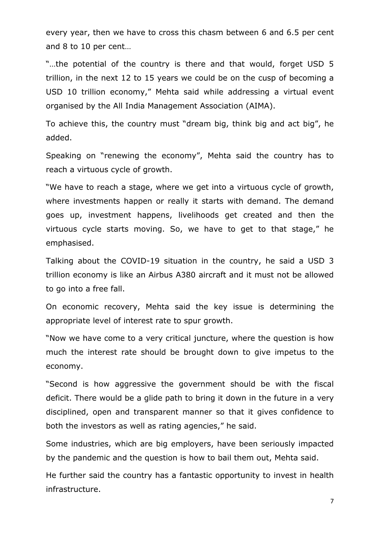every year, then we have to cross this chasm between 6 and 6.5 per cent and 8 to 10 per cent…

"...the potential of the country is there and that would, forget USD 5 trillion, in the next 12 to 15 years we could be on the cusp of becoming a USD 10 trillion economy," Mehta said while addressing a virtual event organised by the All India Management Association (AIMA).

To achieve this, the country must "dream big, think big and act big", he added.

Speaking on "renewing the economy", Mehta said the country has to reach a virtuous cycle of growth.

"We have to reach a stage, where we get into a virtuous cycle of growth, where investments happen or really it starts with demand. The demand goes up, investment happens, livelihoods get created and then the virtuous cycle starts moving. So, we have to get to that stage," he emphasised.

Talking about the COVID-19 situation in the country, he said a USD 3 trillion economy is like an Airbus A380 aircraft and it must not be allowed to go into a free fall.

On economic recovery, Mehta said the key issue is determining the appropriate level of interest rate to spur growth.

"Now we have come to a very critical juncture, where the question is how much the interest rate should be brought down to give impetus to the economy.

―Second is how aggressive the government should be with the fiscal deficit. There would be a glide path to bring it down in the future in a very disciplined, open and transparent manner so that it gives confidence to both the investors as well as rating agencies," he said.

Some industries, which are big employers, have been seriously impacted by the pandemic and the question is how to bail them out, Mehta said.

He further said the country has a fantastic opportunity to invest in health infrastructure.

7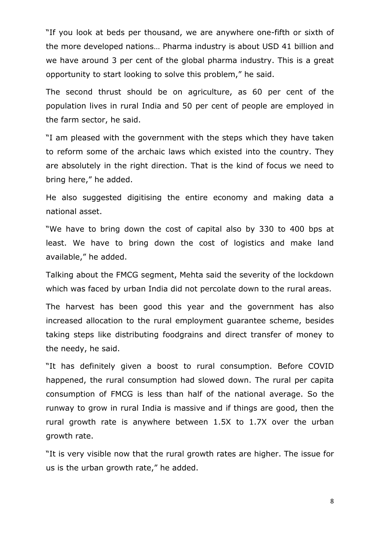"If you look at beds per thousand, we are anywhere one-fifth or sixth of the more developed nations… Pharma industry is about USD 41 billion and we have around 3 per cent of the global pharma industry. This is a great opportunity to start looking to solve this problem," he said.

The second thrust should be on agriculture, as 60 per cent of the population lives in rural India and 50 per cent of people are employed in the farm sector, he said.

"I am pleased with the government with the steps which they have taken to reform some of the archaic laws which existed into the country. They are absolutely in the right direction. That is the kind of focus we need to bring here," he added.

He also suggested digitising the entire economy and making data a national asset.

"We have to bring down the cost of capital also by 330 to 400 bps at least. We have to bring down the cost of logistics and make land available," he added.

Talking about the FMCG segment, Mehta said the severity of the lockdown which was faced by urban India did not percolate down to the rural areas.

The harvest has been good this year and the government has also increased allocation to the rural employment guarantee scheme, besides taking steps like distributing foodgrains and direct transfer of money to the needy, he said.

"It has definitely given a boost to rural consumption. Before COVID happened, the rural consumption had slowed down. The rural per capita consumption of FMCG is less than half of the national average. So the runway to grow in rural India is massive and if things are good, then the rural growth rate is anywhere between 1.5X to 1.7X over the urban growth rate.

"It is very visible now that the rural growth rates are higher. The issue for us is the urban growth rate," he added.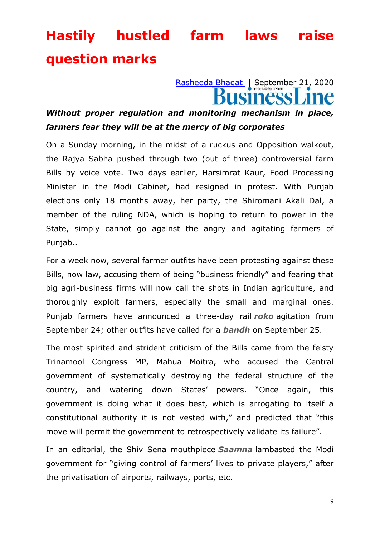## **Hastily hustled farm laws raise question marks**

### [Rasheeda Bhagat](https://www.thehindubusinessline.com/profile/author/Rasheeda-Bhagat-16575/) | September 21, 2020 **SINESS**

*Without proper regulation and monitoring mechanism in place, farmers fear they will be at the mercy of big corporates*

On a Sunday morning, in the midst of a ruckus and Opposition walkout, the Rajya Sabha pushed through two (out of three) controversial farm Bills by voice vote. Two days earlier, Harsimrat Kaur, Food Processing Minister in the Modi Cabinet, had resigned in protest. With Punjab elections only 18 months away, her party, the Shiromani Akali Dal, a member of the ruling NDA, which is hoping to return to power in the State, simply cannot go against the angry and agitating farmers of Punjab..

For a week now, several farmer outfits have been protesting against these Bills, now law, accusing them of being "business friendly" and fearing that big agri-business firms will now call the shots in Indian agriculture, and thoroughly exploit farmers, especially the small and marginal ones. Punjab farmers have announced a three-day rail *roko* agitation from September 24; other outfits have called for a *bandh* on September 25.

The most spirited and strident criticism of the Bills came from the feisty Trinamool Congress MP, Mahua Moitra, who accused the Central government of systematically destroying the federal structure of the country, and watering down States' powers. "Once again, this government is doing what it does best, which is arrogating to itself a constitutional authority it is not vested with," and predicted that "this move will permit the government to retrospectively validate its failure".

In an editorial, the Shiv Sena mouthpiece *Saamna* lambasted the Modi government for "giving control of farmers' lives to private players," after the privatisation of airports, railways, ports, etc.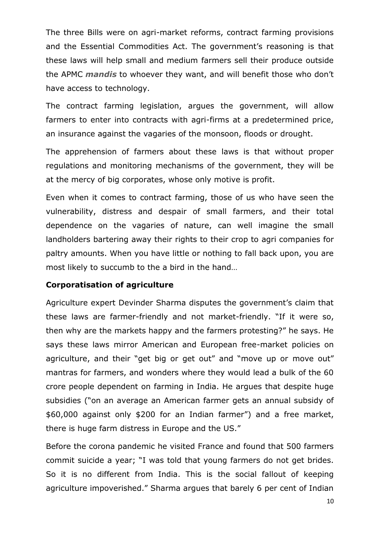The three Bills were on agri-market reforms, contract farming provisions and the Essential Commodities Act. The government's reasoning is that these laws will help small and medium farmers sell their produce outside the APMC *mandis* to whoever they want, and will benefit those who don't have access to technology.

The contract farming legislation, argues the government, will allow farmers to enter into contracts with agri-firms at a predetermined price, an insurance against the vagaries of the monsoon, floods or drought.

The apprehension of farmers about these laws is that without proper regulations and monitoring mechanisms of the government, they will be at the mercy of big corporates, whose only motive is profit.

Even when it comes to contract farming, those of us who have seen the vulnerability, distress and despair of small farmers, and their total dependence on the vagaries of nature, can well imagine the small landholders bartering away their rights to their crop to agri companies for paltry amounts. When you have little or nothing to fall back upon, you are most likely to succumb to the a bird in the hand…

#### **Corporatisation of agriculture**

Agriculture expert Devinder Sharma disputes the government's claim that these laws are farmer-friendly and not market-friendly. "If it were so, then why are the markets happy and the farmers protesting?" he says. He says these laws mirror American and European free-market policies on agriculture, and their "get big or get out" and "move up or move out" mantras for farmers, and wonders where they would lead a bulk of the 60 crore people dependent on farming in India. He argues that despite huge subsidies ("on an average an American farmer gets an annual subsidy of \$60,000 against only \$200 for an Indian farmer") and a free market, there is huge farm distress in Europe and the US."

Before the corona pandemic he visited France and found that 500 farmers commit suicide a year; "I was told that young farmers do not get brides. So it is no different from India. This is the social fallout of keeping agriculture impoverished." Sharma argues that barely 6 per cent of Indian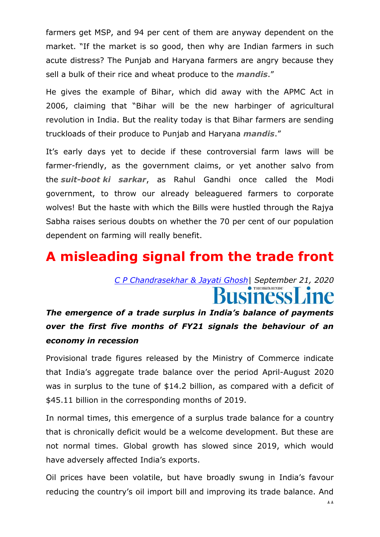farmers get MSP, and 94 per cent of them are anyway dependent on the market. "If the market is so good, then why are Indian farmers in such acute distress? The Punjab and Haryana farmers are angry because they sell a bulk of their rice and wheat produce to the *mandis*.‖

He gives the example of Bihar, which did away with the APMC Act in 2006, claiming that "Bihar will be the new harbinger of agricultural revolution in India. But the reality today is that Bihar farmers are sending truckloads of their produce to Punjab and Haryana *mandis*.‖

It's early days yet to decide if these controversial farm laws will be farmer-friendly, as the government claims, or yet another salvo from the *suit-boot ki sarkar*, as Rahul Gandhi once called the Modi government, to throw our already beleaguered farmers to corporate wolves! But the haste with which the Bills were hustled through the Rajya Sabha raises serious doubts on whether the 70 per cent of our population dependent on farming will really benefit.

### **A misleading signal from the trade front**

# *[C P Chandrasekhar & Jayati Ghosh|](https://www.thehindubusinessline.com/opinion/columns/c-p-chandrasekhar/) September 21, 2020*

*The emergence of a trade surplus in India's balance of payments over the first five months of FY21 signals the behaviour of an economy in recession*

Provisional trade figures released by the Ministry of Commerce indicate that India's aggregate trade balance over the period April-August 2020 was in surplus to the tune of \$14.2 billion, as compared with a deficit of \$45.11 billion in the corresponding months of 2019.

In normal times, this emergence of a surplus trade balance for a country that is chronically deficit would be a welcome development. But these are not normal times. Global growth has slowed since 2019, which would have adversely affected India's exports.

Oil prices have been volatile, but have broadly swung in India's favour reducing the country's oil import bill and improving its trade balance. And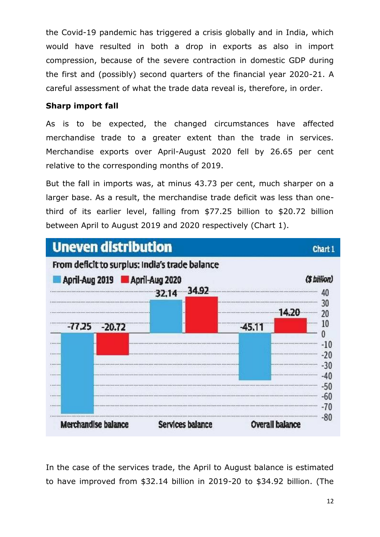the Covid-19 pandemic has triggered a crisis globally and in India, which would have resulted in both a drop in exports as also in import compression, because of the severe contraction in domestic GDP during the first and (possibly) second quarters of the financial year 2020-21. A careful assessment of what the trade data reveal is, therefore, in order.

#### **Sharp import fall**

As is to be expected, the changed circumstances have affected merchandise trade to a greater extent than the trade in services. Merchandise exports over April-August 2020 fell by 26.65 per cent relative to the corresponding months of 2019.

But the fall in imports was, at minus 43.73 per cent, much sharper on a larger base. As a result, the merchandise trade deficit was less than onethird of its earlier level, falling from \$77.25 billion to \$20.72 billion between April to August 2019 and 2020 respectively (Chart 1).



In the case of the services trade, the April to August balance is estimated to have improved from \$32.14 billion in 2019-20 to \$34.92 billion. (The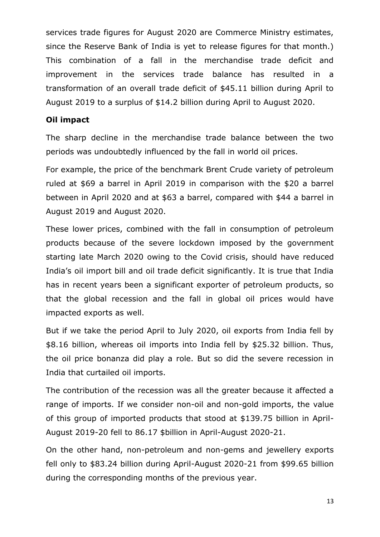services trade figures for August 2020 are Commerce Ministry estimates, since the Reserve Bank of India is yet to release figures for that month.) This combination of a fall in the merchandise trade deficit and improvement in the services trade balance has resulted in a transformation of an overall trade deficit of \$45.11 billion during April to August 2019 to a surplus of \$14.2 billion during April to August 2020.

#### **Oil impact**

The sharp decline in the merchandise trade balance between the two periods was undoubtedly influenced by the fall in world oil prices.

For example, the price of the benchmark Brent Crude variety of petroleum ruled at \$69 a barrel in April 2019 in comparison with the \$20 a barrel between in April 2020 and at \$63 a barrel, compared with \$44 a barrel in August 2019 and August 2020.

These lower prices, combined with the fall in consumption of petroleum products because of the severe lockdown imposed by the government starting late March 2020 owing to the Covid crisis, should have reduced India's oil import bill and oil trade deficit significantly. It is true that India has in recent years been a significant exporter of petroleum products, so that the global recession and the fall in global oil prices would have impacted exports as well.

But if we take the period April to July 2020, oil exports from India fell by \$8.16 billion, whereas oil imports into India fell by \$25.32 billion. Thus, the oil price bonanza did play a role. But so did the severe recession in India that curtailed oil imports.

The contribution of the recession was all the greater because it affected a range of imports. If we consider non-oil and non-gold imports, the value of this group of imported products that stood at \$139.75 billion in April-August 2019-20 fell to 86.17 \$billion in April-August 2020-21.

On the other hand, non-petroleum and non-gems and jewellery exports fell only to \$83.24 billion during April-August 2020-21 from \$99.65 billion during the corresponding months of the previous year.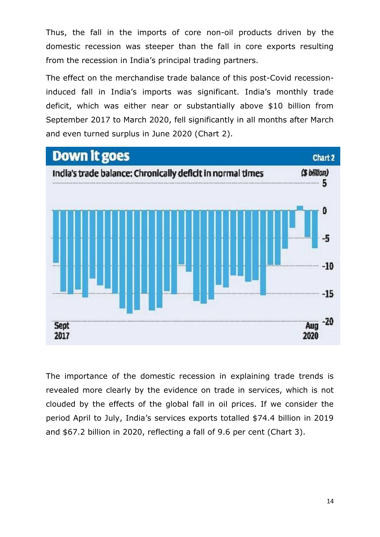Thus, the fall in the imports of core non-oil products driven by the domestic recession was steeper than the fall in core exports resulting from the recession in India's principal trading partners.

The effect on the merchandise trade balance of this post-Covid recessioninduced fall in India's imports was significant. India's monthly trade deficit, which was either near or substantially above \$10 billion from September 2017 to March 2020, fell significantly in all months after March and even turned surplus in June 2020 (Chart 2).



The importance of the domestic recession in explaining trade trends is revealed more clearly by the evidence on trade in services, which is not clouded by the effects of the global fall in oil prices. If we consider the period April to July, India's services exports totalled \$74.4 billion in 2019 and \$67.2 billion in 2020, reflecting a fall of 9.6 per cent (Chart 3).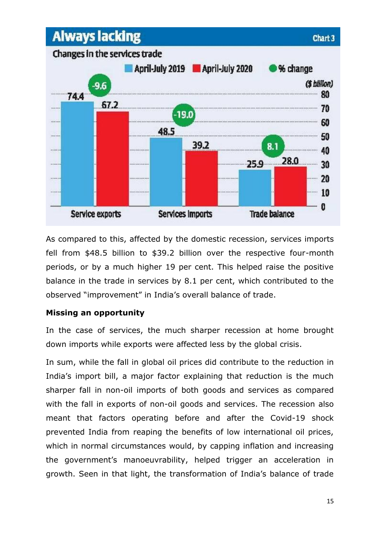

As compared to this, affected by the domestic recession, services imports fell from \$48.5 billion to \$39.2 billion over the respective four-month periods, or by a much higher 19 per cent. This helped raise the positive balance in the trade in services by 8.1 per cent, which contributed to the observed "improvement" in India's overall balance of trade.

#### **Missing an opportunity**

In the case of services, the much sharper recession at home brought down imports while exports were affected less by the global crisis.

In sum, while the fall in global oil prices did contribute to the reduction in India's import bill, a major factor explaining that reduction is the much sharper fall in non-oil imports of both goods and services as compared with the fall in exports of non-oil goods and services. The recession also meant that factors operating before and after the Covid-19 shock prevented India from reaping the benefits of low international oil prices, which in normal circumstances would, by capping inflation and increasing the government's manoeuvrability, helped trigger an acceleration in growth. Seen in that light, the transformation of India's balance of trade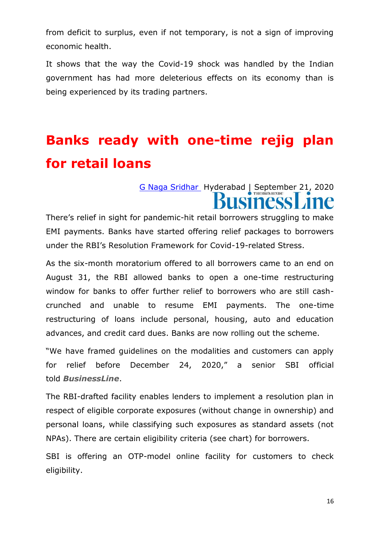from deficit to surplus, even if not temporary, is not a sign of improving economic health.

It shows that the way the Covid-19 shock was handled by the Indian government has had more deleterious effects on its economy than is being experienced by its trading partners.

## **Banks ready with one-time rejig plan for retail loans**

### [G Naga Sridhar](https://www.thehindubusinessline.com/profile/author/G-Naga-Sridhar-16195/) Hyderabad | September 21, 2020 **ISINESS**

There's relief in sight for pandemic-hit retail borrowers struggling to make EMI payments. Banks have started offering relief packages to borrowers under the RBI's Resolution Framework for Covid-19-related Stress.

As the six-month moratorium offered to all borrowers came to an end on August 31, the RBI allowed banks to open a one-time restructuring window for banks to offer further relief to borrowers who are still cashcrunched and unable to resume EMI payments. The one-time restructuring of loans include personal, housing, auto and education advances, and credit card dues. Banks are now rolling out the scheme.

"We have framed guidelines on the modalities and customers can apply for relief before December 24, 2020," a senior SBI official told *BusinessLine*.

The RBI-drafted facility enables lenders to implement a resolution plan in respect of eligible corporate exposures (without change in ownership) and personal loans, while classifying such exposures as standard assets (not NPAs). There are certain eligibility criteria (see chart) for borrowers.

SBI is offering an OTP-model online facility for customers to check eligibility.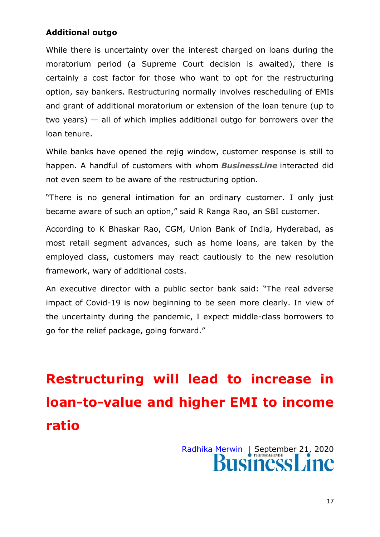#### **Additional outgo**

While there is uncertainty over the interest charged on loans during the moratorium period (a Supreme Court decision is awaited), there is certainly a cost factor for those who want to opt for the restructuring option, say bankers. Restructuring normally involves rescheduling of EMIs and grant of additional moratorium or extension of the loan tenure (up to two years) — all of which implies additional outgo for borrowers over the loan tenure.

While banks have opened the rejig window, customer response is still to happen. A handful of customers with whom *BusinessLine* interacted did not even seem to be aware of the restructuring option.

"There is no general intimation for an ordinary customer. I only just became aware of such an option," said R Ranga Rao, an SBI customer.

According to K Bhaskar Rao, CGM, Union Bank of India, Hyderabad, as most retail segment advances, such as home loans, are taken by the employed class, customers may react cautiously to the new resolution framework, wary of additional costs.

An executive director with a public sector bank said: "The real adverse impact of Covid-19 is now beginning to be seen more clearly. In view of the uncertainty during the pandemic, I expect middle-class borrowers to go for the relief package, going forward."

**Restructuring will lead to increase in loan-to-value and higher EMI to income ratio**

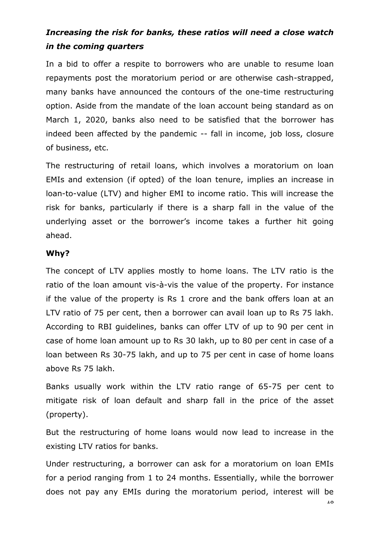#### *Increasing the risk for banks, these ratios will need a close watch in the coming quarters*

In a bid to offer a respite to borrowers who are unable to resume loan repayments post the moratorium period or are otherwise cash-strapped, many banks have announced the contours of the one-time restructuring option. Aside from the mandate of the loan account being standard as on March 1, 2020, banks also need to be satisfied that the borrower has indeed been affected by the pandemic -- fall in income, job loss, closure of business, etc.

The restructuring of retail loans, which involves a moratorium on loan EMIs and extension (if opted) of the loan tenure, implies an increase in loan-to-value (LTV) and higher EMI to income ratio. This will increase the risk for banks, particularly if there is a sharp fall in the value of the underlying asset or the borrower's income takes a further hit going ahead.

#### **Why?**

The concept of LTV applies mostly to home loans. The LTV ratio is the ratio of the loan amount vis-à-vis the value of the property. For instance if the value of the property is Rs 1 crore and the bank offers loan at an LTV ratio of 75 per cent, then a borrower can avail loan up to Rs 75 lakh. According to RBI guidelines, banks can offer LTV of up to 90 per cent in case of home loan amount up to Rs 30 lakh, up to 80 per cent in case of a loan between Rs 30-75 lakh, and up to 75 per cent in case of home loans above Rs 75 lakh.

Banks usually work within the LTV ratio range of 65-75 per cent to mitigate risk of loan default and sharp fall in the price of the asset (property).

But the restructuring of home loans would now lead to increase in the existing LTV ratios for banks.

Under restructuring, a borrower can ask for a moratorium on loan EMIs for a period ranging from 1 to 24 months. Essentially, while the borrower does not pay any EMIs during the moratorium period, interest will be

18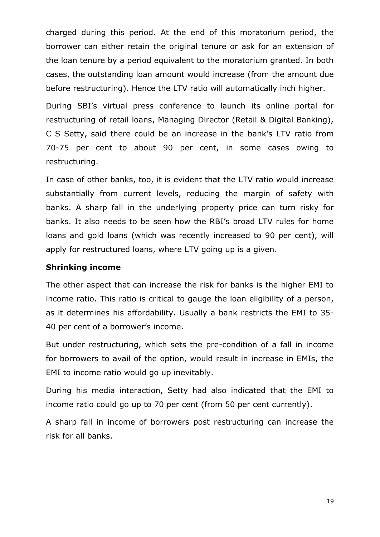charged during this period. At the end of this moratorium period, the borrower can either retain the original tenure or ask for an extension of the loan tenure by a period equivalent to the moratorium granted. In both cases, the outstanding loan amount would increase (from the amount due before restructuring). Hence the LTV ratio will automatically inch higher.

During SBI's virtual press conference to launch its online portal for restructuring of retail loans, Managing Director (Retail & Digital Banking), C S Setty, said there could be an increase in the bank's LTV ratio from 70-75 per cent to about 90 per cent, in some cases owing to restructuring.

In case of other banks, too, it is evident that the LTV ratio would increase substantially from current levels, reducing the margin of safety with banks. A sharp fall in the underlying property price can turn risky for banks. It also needs to be seen how the RBI's broad LTV rules for home loans and gold loans (which was recently increased to 90 per cent), will apply for restructured loans, where LTV going up is a given.

#### **Shrinking income**

The other aspect that can increase the risk for banks is the higher EMI to income ratio. This ratio is critical to gauge the loan eligibility of a person, as it determines his affordability. Usually a bank restricts the EMI to 35- 40 per cent of a borrower's income.

But under restructuring, which sets the pre-condition of a fall in income for borrowers to avail of the option, would result in increase in EMIs, the EMI to income ratio would go up inevitably.

During his media interaction, Setty had also indicated that the EMI to income ratio could go up to 70 per cent (from 50 per cent currently).

A sharp fall in income of borrowers post restructuring can increase the risk for all banks.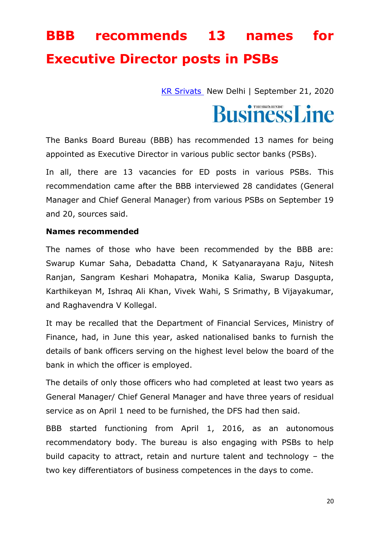## **BBB recommends 13 names for Executive Director posts in PSBs**

[KR Srivats](https://www.thehindubusinessline.com/profile/author/KR-Srivats-16087/) New Delhi | September 21, 2020

# **BusinessLine**

The Banks Board Bureau (BBB) has recommended 13 names for being appointed as Executive Director in various public sector banks (PSBs).

In all, there are 13 vacancies for ED posts in various PSBs. This recommendation came after the BBB interviewed 28 candidates (General Manager and Chief General Manager) from various PSBs on September 19 and 20, sources said.

#### **Names recommended**

The names of those who have been recommended by the BBB are: Swarup Kumar Saha, Debadatta Chand, K Satyanarayana Raju, Nitesh Ranjan, Sangram Keshari Mohapatra, Monika Kalia, Swarup Dasgupta, Karthikeyan M, Ishraq Ali Khan, Vivek Wahi, S Srimathy, B Vijayakumar, and Raghavendra V Kollegal.

It may be recalled that the Department of Financial Services, Ministry of Finance, had, in June this year, asked nationalised banks to furnish the details of bank officers serving on the highest level below the board of the bank in which the officer is employed.

The details of only those officers who had completed at least two years as General Manager/ Chief General Manager and have three years of residual service as on April 1 need to be furnished, the DFS had then said.

BBB started functioning from April 1, 2016, as an autonomous recommendatory body. The bureau is also engaging with PSBs to help build capacity to attract, retain and nurture talent and technology – the two key differentiators of business competences in the days to come.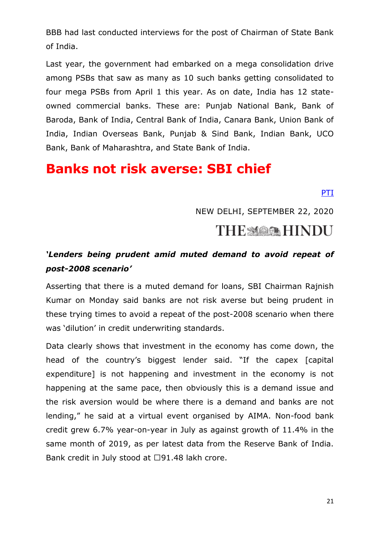BBB had last conducted interviews for the post of Chairman of State Bank of India.

Last year, the government had embarked on a mega consolidation drive among PSBs that saw as many as 10 such banks getting consolidated to four mega PSBs from April 1 this year. As on date, India has 12 stateowned commercial banks. These are: Punjab National Bank, Bank of Baroda, Bank of India, Central Bank of India, Canara Bank, Union Bank of India, Indian Overseas Bank, Punjab & Sind Bank, Indian Bank, UCO Bank, Bank of Maharashtra, and State Bank of India.

### **Banks not risk averse: SBI chief**

[PTI](https://www.thehindu.com/business/Industry/banks-not-risk-averse-sbi-chief/article32663876.ece)

NEW DELHI, SEPTEMBER 22, 2020

THE MOON HINDU

#### *'Lenders being prudent amid muted demand to avoid repeat of post-2008 scenario'*

Asserting that there is a muted demand for loans, SBI Chairman Rajnish Kumar on Monday said banks are not risk averse but being prudent in these trying times to avoid a repeat of the post-2008 scenario when there was 'dilution' in credit underwriting standards.

Data clearly shows that investment in the economy has come down, the head of the country's biggest lender said. "If the capex [capital expenditure] is not happening and investment in the economy is not happening at the same pace, then obviously this is a demand issue and the risk aversion would be where there is a demand and banks are not lending," he said at a virtual event organised by AIMA. Non-food bank credit grew 6.7% year-on-year in July as against growth of 11.4% in the same month of 2019, as per latest data from the Reserve Bank of India. Bank credit in July stood at  $\Box$ 91.48 lakh crore.